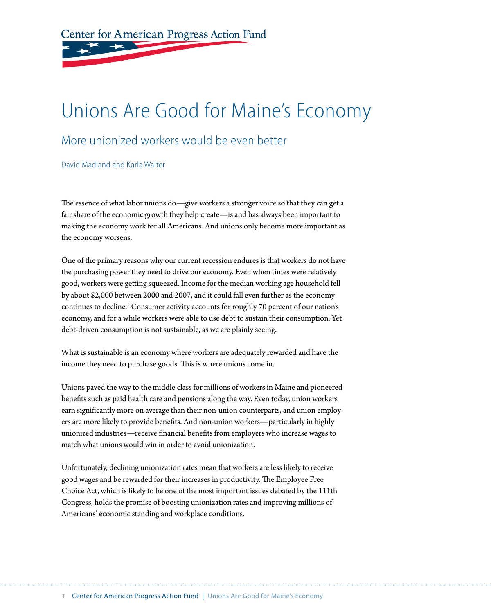Center for American Progress Action Fund

# Unions Are Good for Maine's Economy

#### More unionized workers would be even better

David Madland and Karla Walter

The essence of what labor unions do—give workers a stronger voice so that they can get a fair share of the economic growth they help create—is and has always been important to making the economy work for all Americans. And unions only become more important as the economy worsens.

One of the primary reasons why our current recession endures is that workers do not have the purchasing power they need to drive our economy. Even when times were relatively good, workers were getting squeezed. Income for the median working age household fell by about \$2,000 between 2000 and 2007, and it could fall even further as the economy continues to decline.<sup>1</sup> Consumer activity accounts for roughly 70 percent of our nation's economy, and for a while workers were able to use debt to sustain their consumption. Yet debt-driven consumption is not sustainable, as we are plainly seeing.

What is sustainable is an economy where workers are adequately rewarded and have the income they need to purchase goods. This is where unions come in.

Unions paved the way to the middle class for millions of workers in Maine and pioneered benefits such as paid health care and pensions along the way. Even today, union workers earn significantly more on average than their non-union counterparts, and union employers are more likely to provide benefits. And non-union workers—particularly in highly unionized industries—receive financial benefits from employers who increase wages to match what unions would win in order to avoid unionization.

Unfortunately, declining unionization rates mean that workers are less likely to receive good wages and be rewarded for their increases in productivity. The Employee Free Choice Act, which is likely to be one of the most important issues debated by the 111th Congress, holds the promise of boosting unionization rates and improving millions of Americans' economic standing and workplace conditions.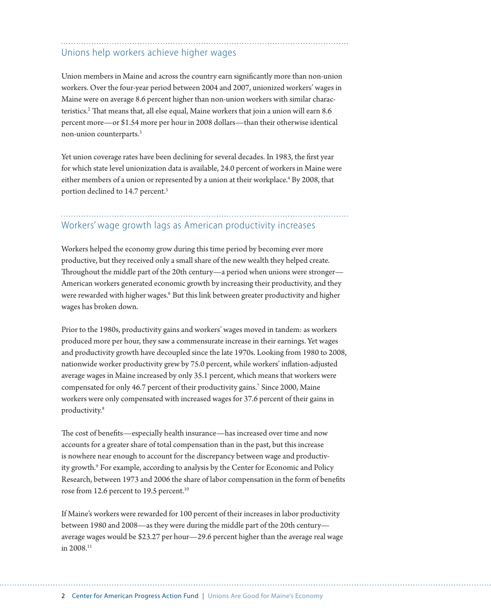#### Unions help workers achieve higher wages

Union members in Maine and across the country earn significantly more than non-union workers. Over the four-year period between 2004 and 2007, unionized workers' wages in Maine were on average 8.6 percent higher than non-union workers with similar characteristics.<sup>2</sup> That means that, all else equal, Maine workers that join a union will earn 8.6 percent more—or \$1.54 more per hour in 2008 dollars—than their otherwise identical non-union counterparts.3

Yet union coverage rates have been declining for several decades. In 1983, the first year for which state level unionization data is available, 24.0 percent of workers in Maine were either members of a union or represented by a union at their workplace.<sup>4</sup> By 2008, that portion declined to 14.7 percent.<sup>5</sup>

### Workers' wage growth lags as American productivity increases

Workers helped the economy grow during this time period by becoming ever more productive, but they received only a small share of the new wealth they helped create. Throughout the middle part of the 20th century—a period when unions were stronger— American workers generated economic growth by increasing their productivity, and they were rewarded with higher wages.<sup>6</sup> But this link between greater productivity and higher wages has broken down.

Prior to the 1980s, productivity gains and workers' wages moved in tandem: as workers produced more per hour, they saw a commensurate increase in their earnings. Yet wages and productivity growth have decoupled since the late 1970s. Looking from 1980 to 2008, nationwide worker productivity grew by 75.0 percent, while workers' inflation-adjusted average wages in Maine increased by only 35.1 percent, which means that workers were compensated for only 46.7 percent of their productivity gains.<sup>7</sup> Since 2000, Maine workers were only compensated with increased wages for 37.6 percent of their gains in productivity.8

The cost of benefits—especially health insurance—has increased over time and now accounts for a greater share of total compensation than in the past, but this increase is nowhere near enough to account for the discrepancy between wage and productivity growth.<sup>9</sup> For example, according to analysis by the Center for Economic and Policy Research, between 1973 and 2006 the share of labor compensation in the form of benefits rose from 12.6 percent to 19.5 percent.<sup>10</sup>

If Maine's workers were rewarded for 100 percent of their increases in labor productivity between 1980 and 2008—as they were during the middle part of the 20th century average wages would be \$23.27 per hour—29.6 percent higher than the average real wage in 2008.11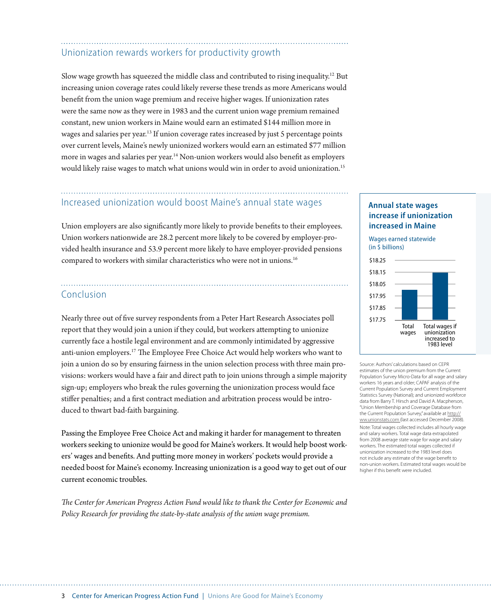### Unionization rewards workers for productivity growth

Slow wage growth has squeezed the middle class and contributed to rising inequality.<sup>12</sup> But increasing union coverage rates could likely reverse these trends as more Americans would benefit from the union wage premium and receive higher wages. If unionization rates were the same now as they were in 1983 and the current union wage premium remained constant, new union workers in Maine would earn an estimated \$144 million more in wages and salaries per year.<sup>13</sup> If union coverage rates increased by just 5 percentage points over current levels, Maine's newly unionized workers would earn an estimated \$77 million more in wages and salaries per year.<sup>14</sup> Non-union workers would also benefit as employers would likely raise wages to match what unions would win in order to avoid unionization.15

## Increased unionization would boost Maine's annual state wages

Union employers are also significantly more likely to provide benefits to their employees. Union workers nationwide are 28.2 percent more likely to be covered by employer-provided health insurance and 53.9 percent more likely to have employer-provided pensions compared to workers with similar characteristics who were not in unions.<sup>16</sup>

#### Conclusion

Nearly three out of five survey respondents from a Peter Hart Research Associates poll report that they would join a union if they could, but workers attempting to unionize currently face a hostile legal environment and are commonly intimidated by aggressive anti-union employers.17 The Employee Free Choice Act would help workers who want to join a union do so by ensuring fairness in the union selection process with three main provisions: workers would have a fair and direct path to join unions through a simple majority sign-up; employers who break the rules governing the unionization process would face stiffer penalties; and a first contract mediation and arbitration process would be introduced to thwart bad-faith bargaining.

Passing the Employee Free Choice Act and making it harder for management to threaten workers seeking to unionize would be good for Maine's workers. It would help boost workers' wages and benefits. And putting more money in workers' pockets would provide a needed boost for Maine's economy. Increasing unionization is a good way to get out of our current economic troubles.

*The Center for American Progress Action Fund would like to thank the Center for Economic and Policy Research for providing the state-by-state analysis of the union wage premium.* 

#### **Annual state wages increase if unionization increased in Maine**

Wages earned statewide (in \$ billions)



Source: Authors' calculations based on CEPR estimates of the union premium from the Current Population Survey Micro-Data for all wage and salary workers 16 years and older; CAPAF analysis of the Current Population Survey and Current Employment Statistics Survey (National); and unionized workforce data from Barry T. Hirsch and David A. Macpherson, "Union Membership and Coverage Database from the Current Population Survey," available at http:// ww.unionstats.com (last accessed December 2008). Note: Total wages collected includes all hourly wage and salary workers. Total wage data extrapolated from 2008 average state wage for wage and salary workers. The estimated total wages collected if unionization increased to the 1983 level does not include any estimate of the wage benefit to non-union workers. Estimated total wages would be higher if this benefit were included.